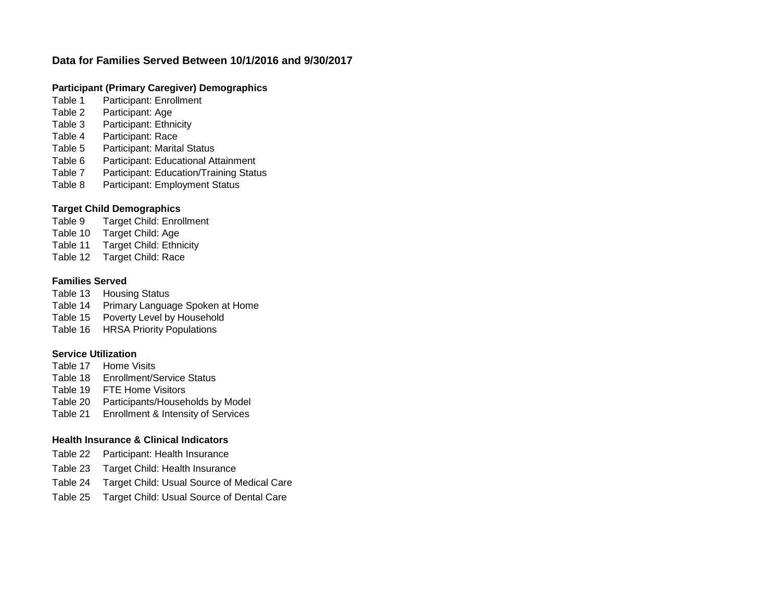# **Data for Families Served Between 10/1/2016 and 9/30/2017**

# **Participant (Primary Caregiver) Demographics**

- Table 1 Participant: Enrollment
- Table 2 Participant: Age
- Table 3 Participant: Ethnicity
- Table 4 Participant: Race
- Table 5 Participant: Marital Status
- Table 6 Participant: Educational Attainment
- Table 7 Participant: Education/Training Status
- Table 8 Participant: Employment Status

# **Target Child Demographics**

Table 9 Target Child: Enrollment

- Table 10 Target Child: Age
- Table 11 Target Child: Ethnicity
- Table 12 Target Child: Race

# **Families Served**

Table 13 Housing Status Table 14 Primary Language Spoken at Home Table 15 Poverty Level by Household Table 16 HRSA Priority Populations

# **Service Utilization**

- Table 17 Home Visits
- Table 18 Enrollment/Service Status
- Table 19 FTE Home Visitors
- Table 20 Participants/Households by Model
- Table 21 Enrollment & Intensity of Services

# **Health Insurance & Clinical Indicators**

- Table 22 Participant: Health Insurance
- Table 23 Target Child: Health Insurance
- Table 24 Target Child: Usual Source of Medical Care
- Table 25 Target Child: Usual Source of Dental Care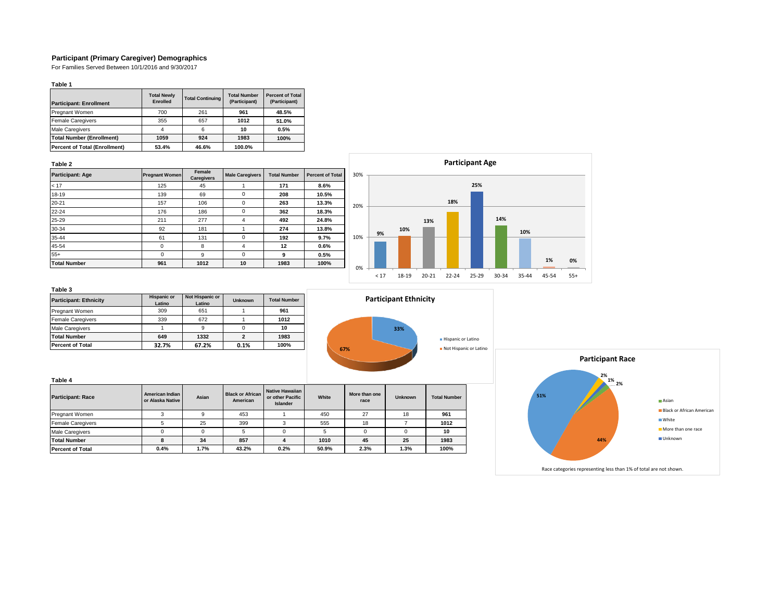## **Participant (Primary Caregiver) Demographics**

For Families Served Between 10/1/2016 and 9/30/2017

### **Table 1**

| <b>Participant: Enrollment</b>       | <b>Total Newly</b><br><b>Enrolled</b> | <b>Total Continuing</b> | <b>Total Number</b><br>(Participant) | <b>Percent of Total</b><br>(Participant) |
|--------------------------------------|---------------------------------------|-------------------------|--------------------------------------|------------------------------------------|
| <b>Pregnant Women</b>                | 700                                   | 261                     | 961                                  | 48.5%                                    |
| <b>Female Caregivers</b>             | 355                                   | 657                     | 1012                                 | 51.0%                                    |
| <b>Male Caregivers</b>               |                                       |                         | 10                                   | 0.5%                                     |
| <b>Total Number (Enrollment)</b>     | 1059                                  | 924                     | 1983                                 | 100%                                     |
| <b>Percent of Total (Enrollment)</b> | 53.4%                                 | 46.6%                   | 100.0%                               |                                          |

## **Table 2**

| <b>Participant: Age</b> | <b>Pregnant Women</b> | Female<br><b>Caregivers</b> | <b>Male Caregivers</b><br><b>Total Number</b> |      | <b>Percent of Total</b> |
|-------------------------|-----------------------|-----------------------------|-----------------------------------------------|------|-------------------------|
| < 17                    | 125                   | 45                          |                                               | 171  | 8.6%                    |
| 18-19                   | 139                   | 69                          | 0                                             | 208  | 10.5%                   |
| $20 - 21$               | 157                   | 106                         | 0                                             | 263  | 13.3%                   |
| $22 - 24$               | 176                   | 186                         | 0                                             | 362  | 18.3%                   |
| 25-29                   | 211                   | 277                         | 4                                             | 492  | 24.8%                   |
| 30-34                   | 92                    | 181                         |                                               | 274  | 13.8%                   |
| 35-44                   | 61                    | 131                         | 0                                             | 192  | 9.7%                    |
| 45-54                   | $\Omega$              | 8                           | 4                                             | 12   | 0.6%                    |
| $55+$                   | $\Omega$              | 9                           | 0                                             | 9    | 0.5%                    |
| <b>Total Number</b>     | 961                   | 1012                        | 10                                            | 1983 | 100%                    |



| <b>Participant: Ethnicity</b> | <b>Hispanic or</b><br>Latino | Not Hispanic or<br>Latino | <b>Unknown</b> | <b>Total Number</b> |
|-------------------------------|------------------------------|---------------------------|----------------|---------------------|
| Pregnant Women                | 309                          | 651                       |                | 961                 |
| <b>Female Caregivers</b>      | 339                          | 672                       |                | 1012                |
| <b>Male Caregivers</b>        |                              |                           |                | 10                  |
| <b>Total Number</b>           | 649                          | 1332                      |                | 1983                |
| <b>Percent of Total</b>       | 32.7%                        | 67.2%                     | 0.1%           | 100%                |

|     | <b>Participant Ethnicity</b> |                                              |
|-----|------------------------------|----------------------------------------------|
| 67% | 33%                          | Hispanic or Latino<br>Not Hispanic or Latino |

| Table 4                  |                                     |       |                                     |                                                        |       |                       |                |                     |
|--------------------------|-------------------------------------|-------|-------------------------------------|--------------------------------------------------------|-------|-----------------------|----------------|---------------------|
| <b>Participant: Race</b> | American Indian<br>or Alaska Native | Asian | <b>Black or African</b><br>American | Native Hawaiian<br>or other Pacific<br><b>Islander</b> | White | More than one<br>race | <b>Unknown</b> | <b>Total Number</b> |
| Pregnant Women           |                                     |       | 453                                 |                                                        | 450   | 27                    | 18             | 961                 |
| <b>Female Caregivers</b> |                                     | 25    | 399                                 |                                                        | 555   | 18                    |                | 1012                |
| <b>Male Caregivers</b>   |                                     |       | 5                                   |                                                        |       |                       |                | 10                  |
| <b>Total Number</b>      |                                     | 34    | 857                                 | 4                                                      | 1010  | 45                    | 25             | 1983                |
| <b>Percent of Total</b>  | 0.4%                                | 1.7%  | 43.2%                               | 0.2%                                                   | 50.9% | 2.3%                  | 1.3%           | 100%                |

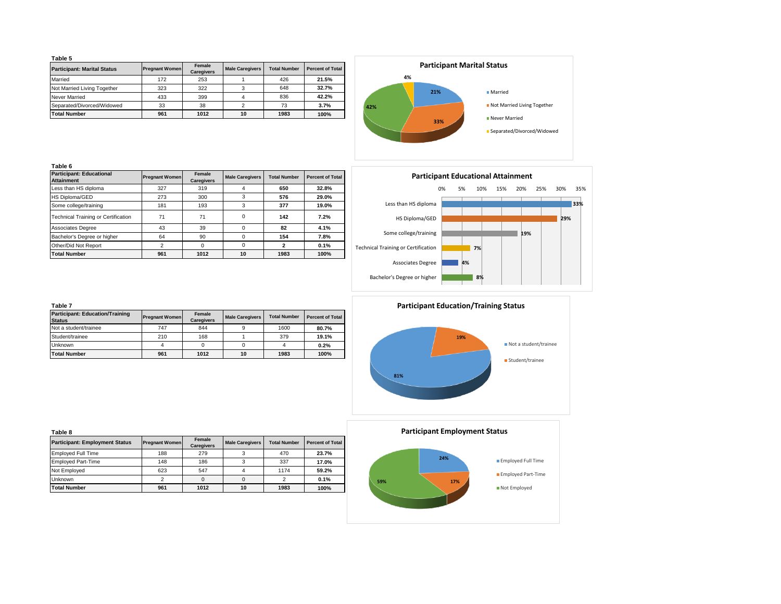|--|--|

| rapie o                            |                       |                             |                        |                     |                         |  |  |  |
|------------------------------------|-----------------------|-----------------------------|------------------------|---------------------|-------------------------|--|--|--|
| <b>Participant: Marital Status</b> | <b>Pregnant Women</b> | Female<br><b>Caregivers</b> | <b>Male Caregivers</b> | <b>Total Number</b> | <b>Percent of Total</b> |  |  |  |
| Married                            | 172                   | 253                         |                        | 426                 | 21.5%                   |  |  |  |
| Not Married Living Together        | 323                   | 322                         |                        | 648                 | 32.7%                   |  |  |  |
| <b>Never Married</b>               | 433                   | 399                         |                        | 836                 | 42.2%                   |  |  |  |
| Separated/Divorced/Widowed         | 33                    | 38                          |                        | 73                  | 3.7%                    |  |  |  |
| <b>Total Number</b>                | 961                   | 1012                        | 10                     | 1983                | 100%                    |  |  |  |



| ۰,<br>M.<br>٠ |  |
|---------------|--|

| <b>Participant: Educational</b><br><b>Attainment</b> |                | Female<br><b>Pregnant Women</b><br><b>Male Caregivers</b><br><b>Caregivers</b> |          | <b>Total Number</b> | <b>Percent of Total</b> |  |
|------------------------------------------------------|----------------|--------------------------------------------------------------------------------|----------|---------------------|-------------------------|--|
| Less than HS diploma                                 | 327            | 319                                                                            | 4        | 650                 | 32.8%                   |  |
| HS Diploma/GED                                       | 273            | 300                                                                            | 3        | 576                 | 29.0%                   |  |
| Some college/training                                | 181            | 193                                                                            | 3        | 377                 | 19.0%                   |  |
| <b>Technical Training or Certification</b>           | 71             | 71                                                                             | $\Omega$ | 142                 | 7.2%                    |  |
| <b>Associates Degree</b>                             | 43             | 39                                                                             | $\Omega$ | 82                  | 4.1%                    |  |
| Bachelor's Degree or higher                          | 64             | 90                                                                             | 0        | 154                 | 7.8%                    |  |
| Other/Did Not Report                                 | $\overline{2}$ | $\Omega$                                                                       | $\Omega$ | 2                   | 0.1%                    |  |
| <b>Total Number</b>                                  | 961            | 1012                                                                           | 10       | 1983                | 100%                    |  |

| <b>Participant Educational Attainment</b> |    |     |     |     |     |     |     |
|-------------------------------------------|----|-----|-----|-----|-----|-----|-----|
| 0%                                        | 5% | 10% | 15% | 20% | 25% | 30% | 35% |
| Less than HS diploma                      |    |     |     |     |     |     | 33% |
| HS Diploma/GED                            |    |     |     |     |     |     |     |
| Some college/training                     |    |     |     | 19% |     |     |     |
| Technical Training or Certification       |    | 7%  |     |     |     |     |     |
| <b>Associates Degree</b>                  | 4% |     |     |     |     |     |     |
| Bachelor's Degree or higher               |    | 8%  |     |     |     |     |     |
|                                           |    |     |     |     |     |     | 29% |

| Table 7                                                 |                       |                             |                        |                     |                         |
|---------------------------------------------------------|-----------------------|-----------------------------|------------------------|---------------------|-------------------------|
| <b>Participant: Education/Training</b><br><b>Status</b> | <b>Pregnant Women</b> | Female<br><b>Caregivers</b> | <b>Male Caregivers</b> | <b>Total Number</b> | <b>Percent of Total</b> |
| Not a student/trainee                                   | 747                   | 844                         |                        | 1600                | 80.7%                   |
| Student/trainee                                         | 210                   | 168                         |                        | 379                 | 19.1%                   |
| Unknown                                                 | 4                     |                             |                        |                     | 0.2%                    |
| <b>Total Number</b>                                     | 961                   | 1012                        | 10                     | 1983                | 100%                    |

| <b>Participant Education/Training Status</b> |                       |
|----------------------------------------------|-----------------------|
| 19%                                          | Not a student/trainee |
| 81%                                          | Student/trainee       |

| Table 8                               |                       |                             |                        |                     |                         |
|---------------------------------------|-----------------------|-----------------------------|------------------------|---------------------|-------------------------|
| <b>Participant: Employment Status</b> | <b>Pregnant Women</b> | Female<br><b>Caregivers</b> | <b>Male Caregivers</b> | <b>Total Number</b> | <b>Percent of Total</b> |
| <b>Employed Full Time</b>             | 188                   | 279                         |                        | 470                 | 23.7%                   |
| <b>Employed Part-Time</b>             | 148                   | 186                         | 3                      | 337                 | 17.0%                   |
| Not Employed                          | 623                   | 547                         | 4                      | 1174                | 59.2%                   |
| <b>Unknown</b>                        | $\overline{2}$        | $\Omega$                    | $\Omega$               | 2                   | 0.1%                    |
| <b>Total Number</b>                   | 961                   | 1012                        | 10                     | 1983                | 100%                    |



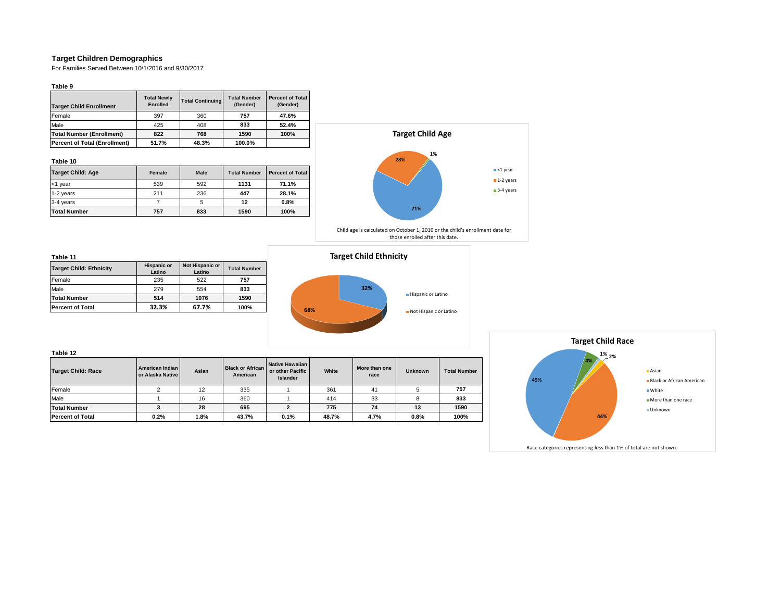## **Target Children Demographics**

For Families Served Between 10/1/2016 and 9/30/2017

**Table 9**

| <b>Target Child Enrollment</b>       | <b>Total Newly</b><br><b>Enrolled</b> | <b>Total Continuing</b> | <b>Total Number</b><br>(Gender) | <b>Percent of Total</b><br>(Gender) |  |
|--------------------------------------|---------------------------------------|-------------------------|---------------------------------|-------------------------------------|--|
| Female                               | 397                                   | 360                     | 757                             | 47.6%                               |  |
| Male                                 | 425                                   | 408                     | 833                             | 52.4%                               |  |
| <b>Total Number (Enrollment)</b>     | 822                                   | 768                     | 1590                            | 100%                                |  |
| <b>Percent of Total (Enrollment)</b> | 51.7%                                 | 48.3%                   | 100.0%                          |                                     |  |

### **Table 10**

| <b>Target Child: Age</b> | Female | <b>Male</b> | <b>Total Number</b> | <b>Percent of Total</b> |
|--------------------------|--------|-------------|---------------------|-------------------------|
| <1 year                  | 539    | 592         | 1131                | 71.1%                   |
| 1-2 years                | 211    | 236         | 447                 | 28.1%                   |
| 3-4 years                |        |             | 12                  | 0.8%                    |
| <b>Total Number</b>      | 757    | 833         | 1590                | 100%                    |



Child age is calculated on October 1, 2016 or the child's enrollment date for those enrolled after this date.

#### **Table 11**

| <b>Target Child: Ethnicity</b> | <b>Hispanic or</b><br>Latino | Not Hispanic or<br>Latino | <b>Total Number</b> |
|--------------------------------|------------------------------|---------------------------|---------------------|
| Female                         | 235                          | 522                       | 757                 |
| Male                           | 279                          | 554                       | 833                 |
| <b>Total Number</b>            | 514                          | 1076                      | 1590                |
| <b>Percent of Total</b>        | 32.3%                        | 67.7%                     | 100%                |

## **Target Child Ethnicity**



| <b>Target Child: Race</b> | American Indian<br>or Alaska Native | Asian     | <b>Black or African</b><br>American | Native Hawaiian<br>or other Pacific<br><b>Islander</b> | White     | More than one<br>race | <b>Unknown</b> | <b>Total Number</b> |  |
|---------------------------|-------------------------------------|-----------|-------------------------------------|--------------------------------------------------------|-----------|-----------------------|----------------|---------------------|--|
| Female                    |                                     | 335<br>12 |                                     |                                                        | 361<br>41 |                       |                | 757                 |  |
| Male                      |                                     | 16        | 360                                 |                                                        | 414       | 33                    |                | 833                 |  |
| <b>Total Number</b>       |                                     | 28        | 695                                 |                                                        | 775       | 74                    | 13             | 1590                |  |
| <b>Percent of Total</b>   | 0.2%                                | 1.8%      | 43.7%                               | 0.1%                                                   | 48.7%     | 4.7%                  | 0.8%           | 100%                |  |

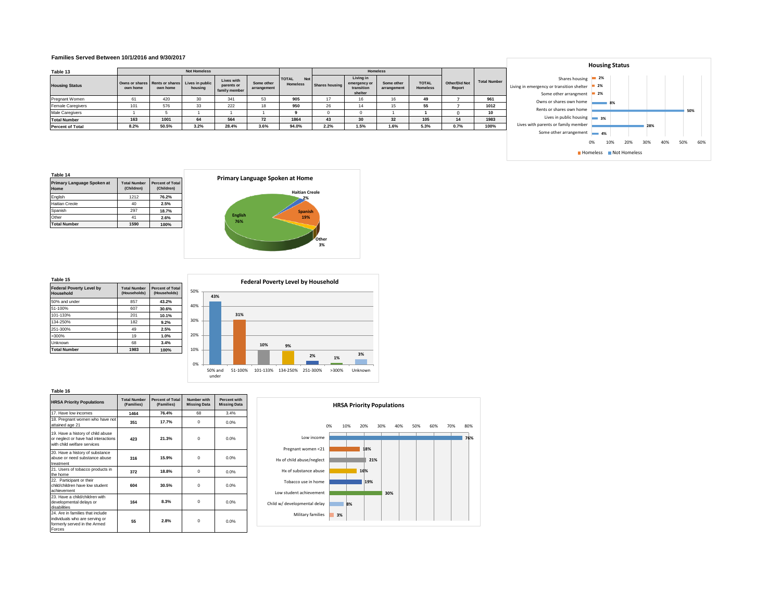#### **Families Served Between 10/1/2016 and 9/30/2017**

|                          |          |                                                            |                     |                             |                           |                            |                |                                       |                           |                                 |                         |      |                                                     | <b>TIONSING STATIS</b> |    |     |  |  |
|--------------------------|----------|------------------------------------------------------------|---------------------|-----------------------------|---------------------------|----------------------------|----------------|---------------------------------------|---------------------------|---------------------------------|-------------------------|------|-----------------------------------------------------|------------------------|----|-----|--|--|
| Table 13                 |          |                                                            | <b>Not Homeless</b> |                             |                           |                            |                |                                       | <b>Homeless</b>           |                                 |                         |      |                                                     |                        |    |     |  |  |
|                          |          |                                                            |                     | Lives with                  |                           | <b>TOTAL</b><br><b>Not</b> |                | Living in                             |                           |                                 |                         |      | <b>Total Number</b>                                 | Shares housing 2%      |    |     |  |  |
| <b>Housing Status</b>    | own home | Owns or shares Rents or shares Lives in public<br>own home | housing             | parents or<br>family member | Some other<br>arrangement | <b>Homeless</b>            | Shares housing | emergency or<br>transition<br>shelter | Some other<br>arrangement | <b>TOTAL</b><br><b>Homeless</b> | Other/Did Not<br>Report |      | Living in emergency or transition shelter 2%        | $= 2\%$                |    |     |  |  |
| Pregnant Women           |          | 420                                                        |                     | 341                         | 53                        | 905                        |                |                                       |                           | 49                              |                         | 961  | Some other arrangment                               |                        |    |     |  |  |
| <b>Female Caregivers</b> | 101      | 576                                                        | 33                  | 222                         | 18                        | 950                        | $\sim$<br>20   |                                       |                           | 55                              |                         | 1012 | Owns or shares own home<br>Rents or shares own home |                        | 8% |     |  |  |
| <b>Male Caregivers</b>   |          |                                                            |                     |                             |                           |                            |                |                                       |                           |                                 |                         |      |                                                     |                        |    |     |  |  |
| <b>Total Number</b>      | 163      | 1001                                                       | 64                  | 564                         | 72                        | 1864                       | 43             | 30                                    | 32                        | 105                             |                         | 1983 | Lives in public housing 3%                          |                        |    |     |  |  |
| <b>Percent of Total</b>  | 8.2%     | 50.5%                                                      | 3.2%                | 28.4%                       | 3.6%                      | 94.0%                      | 2.2%           | 1.5%                                  | 1.6%                      | 5.3%                            | 0.7%                    | 100% | Lives with parents or family member                 |                        |    | 28% |  |  |



| Table 14                                  |                                   |                                       |  |  |  |  |  |
|-------------------------------------------|-----------------------------------|---------------------------------------|--|--|--|--|--|
| <b>Primary Language Spoken at</b><br>Home | <b>Total Number</b><br>(Children) | <b>Percent of Total</b><br>(Children) |  |  |  |  |  |
| English                                   | 1212                              | 76.2%                                 |  |  |  |  |  |
| <b>Haitian Creole</b>                     | 40                                | 2.5%                                  |  |  |  |  |  |
| Spanish                                   | 297                               | 18.7%                                 |  |  |  |  |  |
| Other                                     | 41                                | 2.6%                                  |  |  |  |  |  |
| <b>Total Number</b>                       | 1590                              | 100%                                  |  |  |  |  |  |



#### **Table 15**

**Federal Poverty Level by Household Total Number (Households) Percent of Total (Households)** 50% and under 857 **43.2%** 51-100% 607 **30.6%** 101-133% 201 **10.1%** 134-250% 182 **9.2%** 251-300% 49 **2.5%** >300% 19 **1.0%** Unknown 68 **Total Number 1983 100%**



| <b>HRSA Priority Populations</b>                                                                             | <b>Total Number</b><br>(Families) | <b>Percent of Total</b><br>(Families) | Number with<br><b>Missing Data</b> | Percent with<br><b>Missing Data</b> |
|--------------------------------------------------------------------------------------------------------------|-----------------------------------|---------------------------------------|------------------------------------|-------------------------------------|
| 17. Have low incomes                                                                                         | 1464                              | 76.4%                                 | 68                                 | 3.4%                                |
| 18. Pregnant women who have not<br>attained age 21                                                           | 351                               | 17.7%                                 | $\Omega$                           | 0.0%                                |
| 19. Have a history of child abuse<br>or neglect or have had interactions<br>with child welfare services      | 423                               | 21.3%                                 | $\Omega$                           | 0.0%                                |
| 20. Have a history of substance<br>abuse or need substance abuse<br>treatment                                | 316                               | 15.9%                                 | $\Omega$                           | 0.0%                                |
| 21. Users of tobacco products in<br>the home                                                                 | 372                               | 18.8%                                 | $\Omega$                           | 0.0%                                |
| 22. Participant or their<br>child/children have low student<br>achievement                                   | 604                               | 30.5%                                 | $\Omega$                           | 0.0%                                |
| 23. Have a child/children with<br>developmental delays or<br>disabilities                                    | 164                               | 8.3%                                  | 0                                  | 0.0%                                |
| 24. Are in families that include<br>individuals who are serving or<br>formerly served in the Armed<br>Forces | 55                                | 2.8%                                  | 0                                  | 0.0%                                |

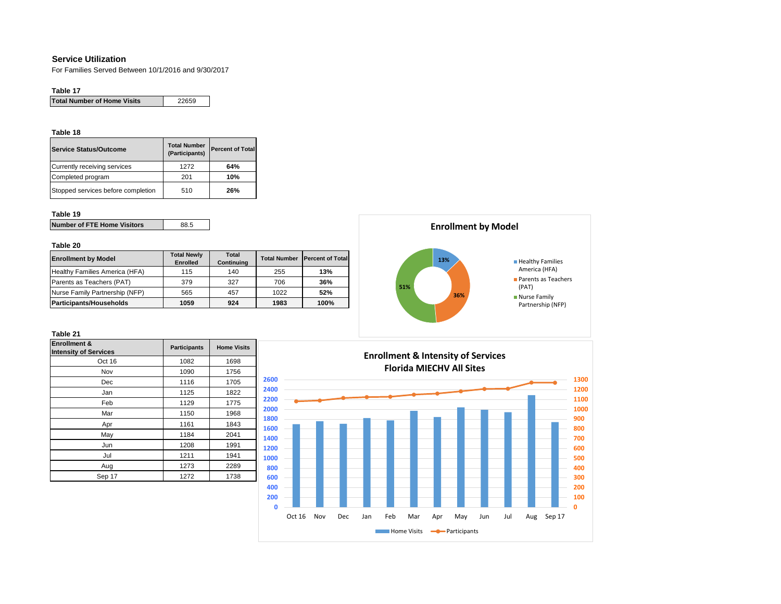## **Service Utilization**

For Families Served Between 10/1/2016 and 9/30/2017

## **Table 17**

| <b>Total Number of Home Visits</b> | 22659 |
|------------------------------------|-------|
|------------------------------------|-------|

## **Table 18**

| Service Status/Outcome             | <b>Total Number</b><br>(Participants) | <b>Percent of Total</b> |
|------------------------------------|---------------------------------------|-------------------------|
| Currently receiving services       | 1272                                  | 64%                     |
| Completed program                  | 201                                   | 10%                     |
| Stopped services before completion | 510                                   | 26%                     |

## **Table 19**

| <b>Number of FTE Home Visitors</b> | 88.5 |
|------------------------------------|------|
|                                    |      |

## **Table 20**

| <b>Enrollment by Model</b>     | <b>Total Newly</b><br><b>Enrolled</b> | Total<br>Continuing | <b>Total Number</b> | <b>Percent of Total</b> |
|--------------------------------|---------------------------------------|---------------------|---------------------|-------------------------|
| Healthy Families America (HFA) | 115                                   | 140                 | 255                 | 13%                     |
| Parents as Teachers (PAT)      | 379                                   | 327                 | 706                 | 36%                     |
| Nurse Family Partnership (NFP) | 565                                   | 457                 | 1022                | 52%                     |
| <b>Participants/Households</b> | 1059                                  | 924                 | 1983                | 100%                    |



| <b>Enrollment &amp;</b><br><b>Intensity of Services</b> | <b>Participants</b> | <b>Home Visits</b> |
|---------------------------------------------------------|---------------------|--------------------|
| Oct 16                                                  | 1082                | 1698               |
| Nov                                                     | 1090                | 1756               |
| Dec                                                     | 1116                | 1705               |
| Jan                                                     | 1125                | 1822               |
| Feb                                                     | 1129                | 1775               |
| Mar                                                     | 1150                | 1968               |
| Apr                                                     | 1161                | 1843               |
| May                                                     | 1184                | 2041               |
| Jun                                                     | 1208                | 1991               |
| Jul                                                     | 1211                | 1941               |
| Aug                                                     | 1273                | 2289               |
| Sep 17                                                  | 1272                | 1738               |